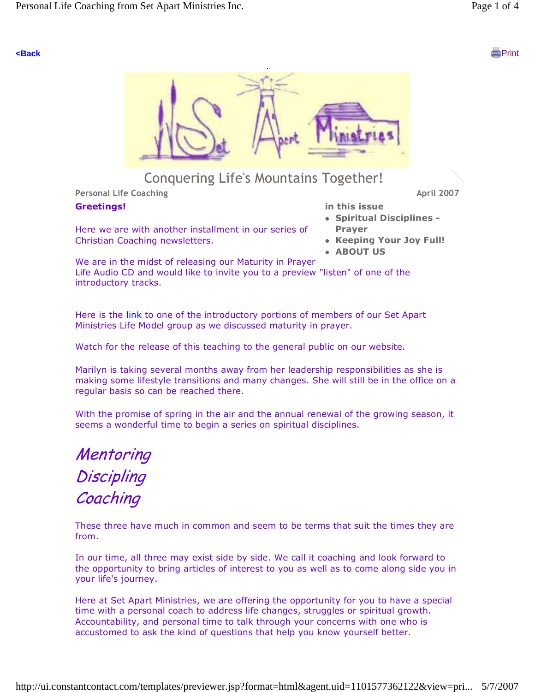

# Conquering Life's Mountains Together!

Personal Life Coaching and April 2007 and April 2007 and April 2007

#### Greetings!

Here we are with another installment in our series of Christian Coaching newsletters.

in this issue

- Spiritual Disciplines Prayer
- Keeping Your Joy Full!
- ABOUT US

We are in the midst of releasing our Maturity in Prayer Life Audio CD and would like to invite you to a preview "listen" of one of the introductory tracks.

Here is the link to one of the introductory portions of members of our Set Apart Ministries Life Model group as we discussed maturity in prayer.

Watch for the release of this teaching to the general public on our website.

Marilyn is taking several months away from her leadership responsibilities as she is making some lifestyle transitions and many changes. She will still be in the office on a regular basis so can be reached there.

With the promise of spring in the air and the annual renewal of the growing season, it seems a wonderful time to begin a series on spiritual disciplines.

**Mentoring Discipling** Coaching

These three have much in common and seem to be terms that suit the times they are from.

In our time, all three may exist side by side. We call it coaching and look forward to the opportunity to bring articles of interest to you as well as to come along side you in your life's journey.

Here at Set Apart Ministries, we are offering the opportunity for you to have a special time with a personal coach to address life changes, struggles or spiritual growth. Accountability, and personal time to talk through your concerns with one who is accustomed to ask the kind of questions that help you know yourself better.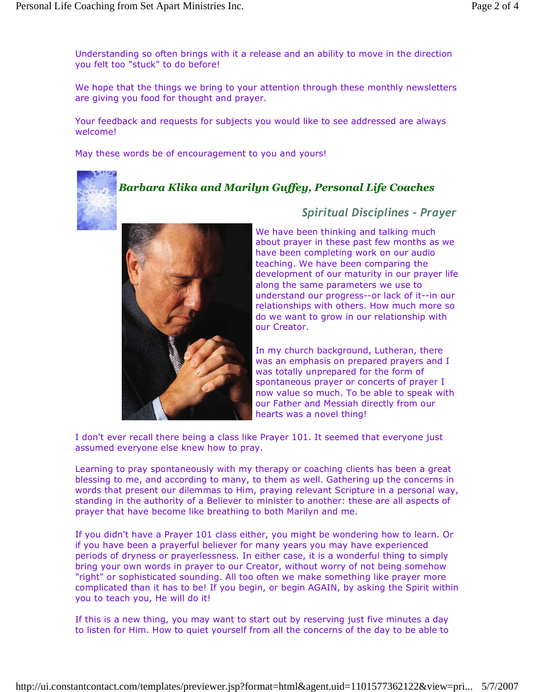Understanding so often brings with it a release and an ability to move in the direction you felt too "stuck" to do before!

We hope that the things we bring to your attention through these monthly newsletters are giving you food for thought and prayer.

Your feedback and requests for subjects you would like to see addressed are always welcome!

May these words be of encouragement to you and yours!

## Barbara Klika and Marilyn Guffey, Personal Life Coaches



## Spiritual Disciplines - Prayer

We have been thinking and talking much about prayer in these past few months as we have been completing work on our audio teaching. We have been comparing the development of our maturity in our prayer life along the same parameters we use to understand our progress--or lack of it--in our relationships with others. How much more so do we want to grow in our relationship with our Creator.

In my church background, Lutheran, there was an emphasis on prepared prayers and I was totally unprepared for the form of spontaneous prayer or concerts of prayer I now value so much. To be able to speak with our Father and Messiah directly from our hearts was a novel thing!

I don't ever recall there being a class like Prayer 101. It seemed that everyone just assumed everyone else knew how to pray.

Learning to pray spontaneously with my therapy or coaching clients has been a great blessing to me, and according to many, to them as well. Gathering up the concerns in words that present our dilemmas to Him, praying relevant Scripture in a personal way, standing in the authority of a Believer to minister to another: these are all aspects of prayer that have become like breathing to both Marilyn and me.

If you didn't have a Prayer 101 class either, you might be wondering how to learn. Or if you have been a prayerful believer for many years you may have experienced periods of dryness or prayerlessness. In either case, it is a wonderful thing to simply bring your own words in prayer to our Creator, without worry of not being somehow "right" or sophisticated sounding. All too often we make something like prayer more complicated than it has to be! If you begin, or begin AGAIN, by asking the Spirit within you to teach you, He will do it!

If this is a new thing, you may want to start out by reserving just five minutes a day to listen for Him. How to quiet yourself from all the concerns of the day to be able to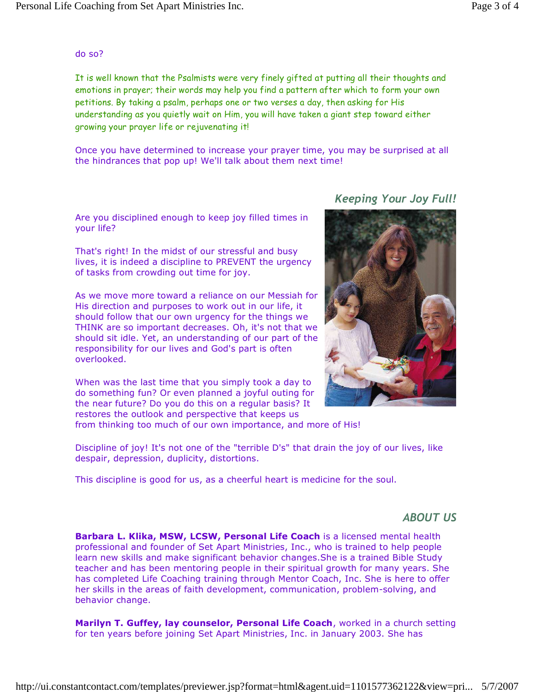#### do so?

It is well known that the Psalmists were very finely gifted at putting all their thoughts and emotions in prayer; their words may help you find a pattern after which to form your own petitions. By taking a psalm, perhaps one or two verses a day, then asking for His understanding as you quietly wait on Him, you will have taken a giant step toward either growing your prayer life or rejuvenating it!

Once you have determined to increase your prayer time, you may be surprised at all the hindrances that pop up! We'll talk about them next time!

Are you disciplined enough to keep joy filled times in your life?

That's right! In the midst of our stressful and busy lives, it is indeed a discipline to PREVENT the urgency of tasks from crowding out time for joy.

As we move more toward a reliance on our Messiah for His direction and purposes to work out in our life, it should follow that our own urgency for the things we THINK are so important decreases. Oh, it's not that we should sit idle. Yet, an understanding of our part of the responsibility for our lives and God's part is often overlooked.

When was the last time that you simply took a day to do something fun? Or even planned a joyful outing for the near future? Do you do this on a regular basis? It restores the outlook and perspective that keeps us

Keeping Your Joy Full!



from thinking too much of our own importance, and more of His!

Discipline of joy! It's not one of the "terrible D's" that drain the joy of our lives, like despair, depression, duplicity, distortions.

This discipline is good for us, as a cheerful heart is medicine for the soul.

#### ABOUT US

Barbara L. Klika, MSW, LCSW, Personal Life Coach is a licensed mental health professional and founder of Set Apart Ministries, Inc., who is trained to help people learn new skills and make significant behavior changes.She is a trained Bible Study teacher and has been mentoring people in their spiritual growth for many years. She has completed Life Coaching training through Mentor Coach, Inc. She is here to offer her skills in the areas of faith development, communication, problem-solving, and behavior change.

Marilyn T. Guffey, lay counselor, Personal Life Coach, worked in a church setting for ten years before joining Set Apart Ministries, Inc. in January 2003. She has